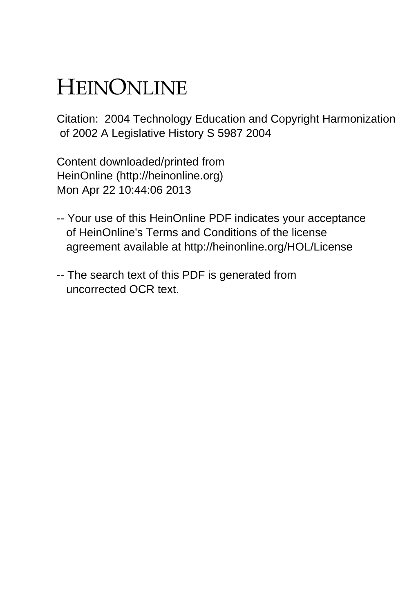# HEINONLINE

Citation: 2004 Technology Education and Copyright Harmonization of 2002 A Legislative History S 5987 2004

Content downloaded/printed from HeinOnline (http://heinonline.org) Mon Apr 22 10:44:06 2013

- -- Your use of this HeinOnline PDF indicates your acceptance of HeinOnline's Terms and Conditions of the license agreement available at http://heinonline.org/HOL/License
- -- The search text of this PDF is generated from uncorrected OCR text.